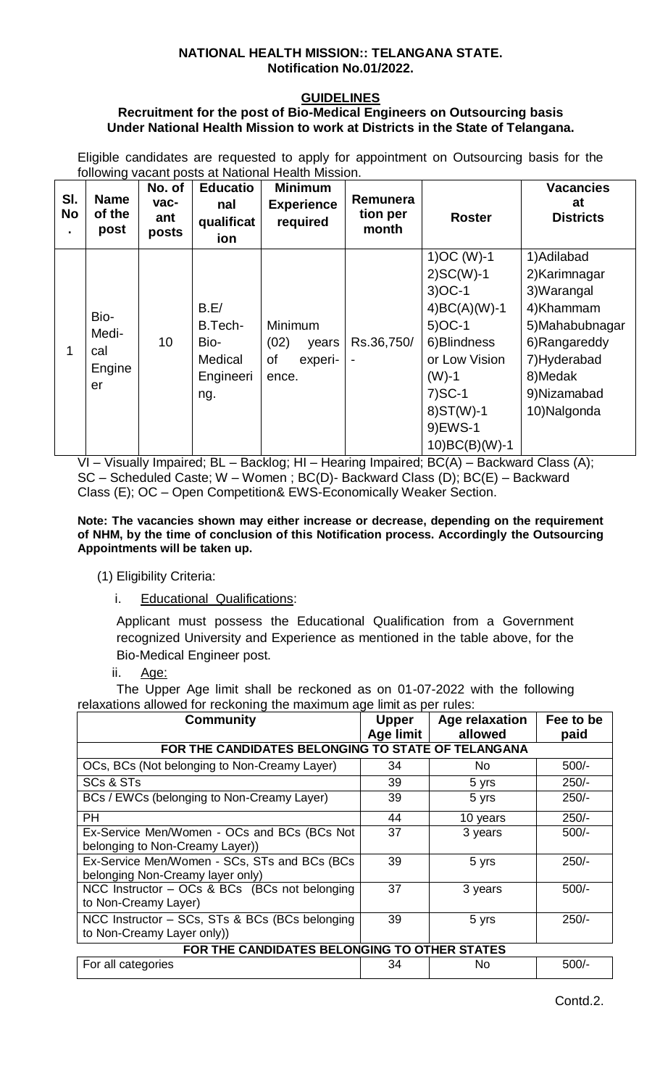#### **NATIONAL HEALTH MISSION:: TELANGANA STATE. Notification No.01/2022.**

## **GUIDELINES**

#### **Recruitment for the post of Bio-Medical Engineers on Outsourcing basis Under National Health Mission to work at Districts in the State of Telangana.**

Eligible candidates are requested to apply for appointment on Outsourcing basis for the following vacant posts at National Health Mission.

| SI.<br><b>No</b> | <b>Name</b><br>of the<br>post        | No. of<br>vac-<br>ant<br>posts | <b>Educatio</b><br>nal<br>qualificat<br>ion            | <b>Minimum</b><br><b>Experience</b><br>required    | Remunera<br>tion per<br>month | <b>Roster</b>                                                                                                                                                              | <b>Vacancies</b><br>at<br><b>Districts</b>                                                                                                           |
|------------------|--------------------------------------|--------------------------------|--------------------------------------------------------|----------------------------------------------------|-------------------------------|----------------------------------------------------------------------------------------------------------------------------------------------------------------------------|------------------------------------------------------------------------------------------------------------------------------------------------------|
| 1                | Bio-<br>Medi-<br>cal<br>Engine<br>er | 10                             | B.E/<br>B.Tech-<br>Bio-<br>Medical<br>Engineeri<br>ng. | Minimum<br>(02)<br>years<br>0f<br>experi-<br>ence. | Rs.36,750/                    | $1)OC (W)-1$<br>$2)SC(W)-1$<br>$3)OC-1$<br>$4)BC(A)(W)-1$<br>$5)OC-1$<br>6) Blindness<br>or Low Vision<br>$(W)-1$<br>$7)SC-1$<br>$8)ST(W)-1$<br>9) EWS-1<br>10) BC(B)(W)-1 | 1) Adilabad<br>2)Karimnagar<br>3) Warangal<br>4)Khammam<br>5) Mahabubnagar<br>6)Rangareddy<br>7) Hyderabad<br>8)Medak<br>9)Nizamabad<br>10) Nalgonda |

VI – Visually Impaired; BL – Backlog; HI – Hearing Impaired; BC(A) – Backward Class (A); SC – Scheduled Caste; W – Women ; BC(D)- Backward Class (D); BC(E) – Backward Class (E); OC – Open Competition& EWS-Economically Weaker Section.

**Note: The vacancies shown may either increase or decrease, depending on the requirement of NHM, by the time of conclusion of this Notification process. Accordingly the Outsourcing Appointments will be taken up.**

(1) Eligibility Criteria:

i. Educational Qualifications:

Applicant must possess the Educational Qualification from a Government recognized University and Experience as mentioned in the table above, for the Bio-Medical Engineer post.

ii. Age:

The Upper Age limit shall be reckoned as on 01-07-2022 with the following relaxations allowed for reckoning the maximum age limit as per rules:

| <b>Community</b>                                                                 | <b>Upper</b><br>Age limit | <b>Age relaxation</b><br>allowed | Fee to be<br>paid |  |  |  |  |  |
|----------------------------------------------------------------------------------|---------------------------|----------------------------------|-------------------|--|--|--|--|--|
| FOR THE CANDIDATES BELONGING TO STATE OF TELANGANA                               |                           |                                  |                   |  |  |  |  |  |
| OCs, BCs (Not belonging to Non-Creamy Layer)                                     | 34                        | No.                              | $500/-$           |  |  |  |  |  |
| SCs & STs                                                                        | 39                        | 5 yrs                            | $250/-$           |  |  |  |  |  |
| BCs / EWCs (belonging to Non-Creamy Layer)                                       | 39                        | 5 yrs                            | $250/-$           |  |  |  |  |  |
| <b>PH</b>                                                                        | 44                        | 10 years                         | $250/-$           |  |  |  |  |  |
| Ex-Service Men/Women - OCs and BCs (BCs Not<br>belonging to Non-Creamy Layer))   | 37                        | 3 years                          | $500/-$           |  |  |  |  |  |
| Ex-Service Men/Women - SCs, STs and BCs (BCs<br>belonging Non-Creamy layer only) | 39                        | 5 yrs                            | $250/-$           |  |  |  |  |  |
| NCC Instructor - OCs & BCs (BCs not belonging<br>to Non-Creamy Layer)            | 37                        | 3 years                          | $500/-$           |  |  |  |  |  |
| NCC Instructor - SCs, STs & BCs (BCs belonging<br>to Non-Creamy Layer only))     | 39                        | 5 yrs                            | $250/-$           |  |  |  |  |  |
| FOR THE CANDIDATES BELONGING TO OTHER STATES                                     |                           |                                  |                   |  |  |  |  |  |
| For all categories                                                               | 34                        | No                               | $500/-$           |  |  |  |  |  |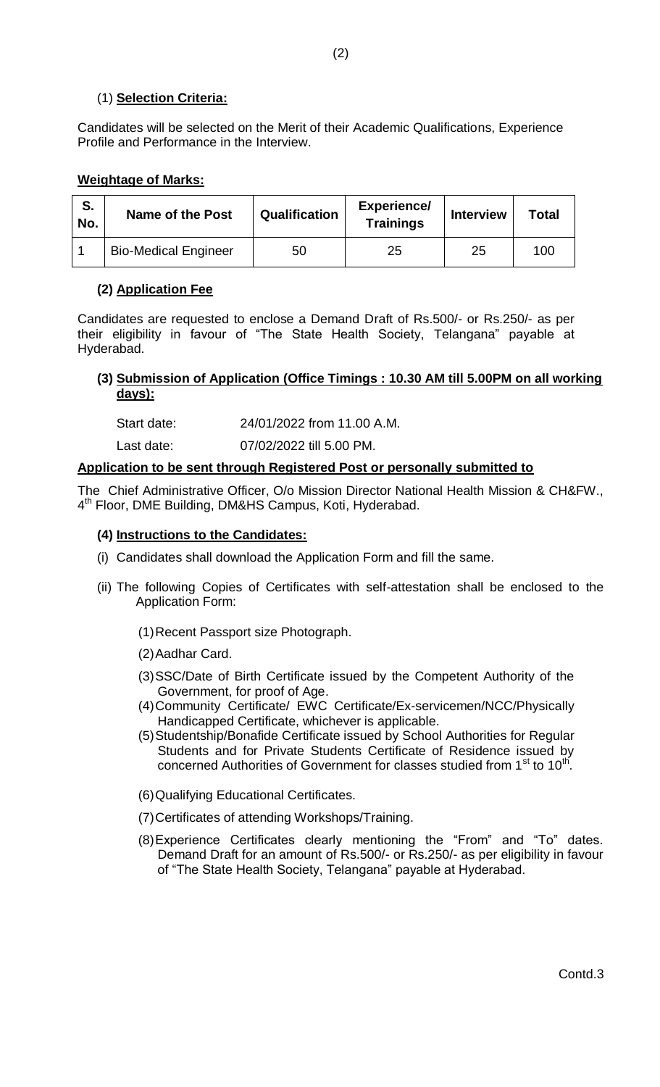## (1) **Selection Criteria:**

Candidates will be selected on the Merit of their Academic Qualifications, Experience Profile and Performance in the Interview.

#### **Weightage of Marks:**

| S.<br>No. | Name of the Post            | Qualification | <b>Experience/</b><br><b>Trainings</b> | <b>Interview</b> | Total |
|-----------|-----------------------------|---------------|----------------------------------------|------------------|-------|
|           | <b>Bio-Medical Engineer</b> | 50            | 25                                     | 25               | 100   |

### **(2) Application Fee**

Candidates are requested to enclose a Demand Draft of Rs.500/- or Rs.250/- as per their eligibility in favour of "The State Health Society, Telangana" payable at Hyderabad.

### **(3) Submission of Application (Office Timings : 10.30 AM till 5.00PM on all working days):**

Start date: 24/01/2022 from 11.00 A.M.

Last date: 07/02/2022 till 5.00 PM.

#### **Application to be sent through Registered Post or personally submitted to**

The Chief Administrative Officer, O/o Mission Director National Health Mission & CH&FW., 4<sup>th</sup> Floor, DME Building, DM&HS Campus, Koti, Hyderabad.

### **(4) Instructions to the Candidates:**

- (i) Candidates shall download the Application Form and fill the same.
- (ii) The following Copies of Certificates with self-attestation shall be enclosed to the Application Form:
	- (1)Recent Passport size Photograph.
	- (2)Aadhar Card.
	- (3)SSC/Date of Birth Certificate issued by the Competent Authority of the Government, for proof of Age.
	- (4)Community Certificate/ EWC Certificate/Ex-servicemen/NCC/Physically Handicapped Certificate, whichever is applicable.
	- (5)Studentship/Bonafide Certificate issued by School Authorities for Regular Students and for Private Students Certificate of Residence issued by concerned Authorities of Government for classes studied from 1<sup>st</sup> to 10<sup>th</sup>.
	- (6)Qualifying Educational Certificates.
	- (7)Certificates of attending Workshops/Training.
	- (8)Experience Certificates clearly mentioning the "From" and "To" dates. Demand Draft for an amount of Rs.500/- or Rs.250/- as per eligibility in favour of "The State Health Society, Telangana" payable at Hyderabad.